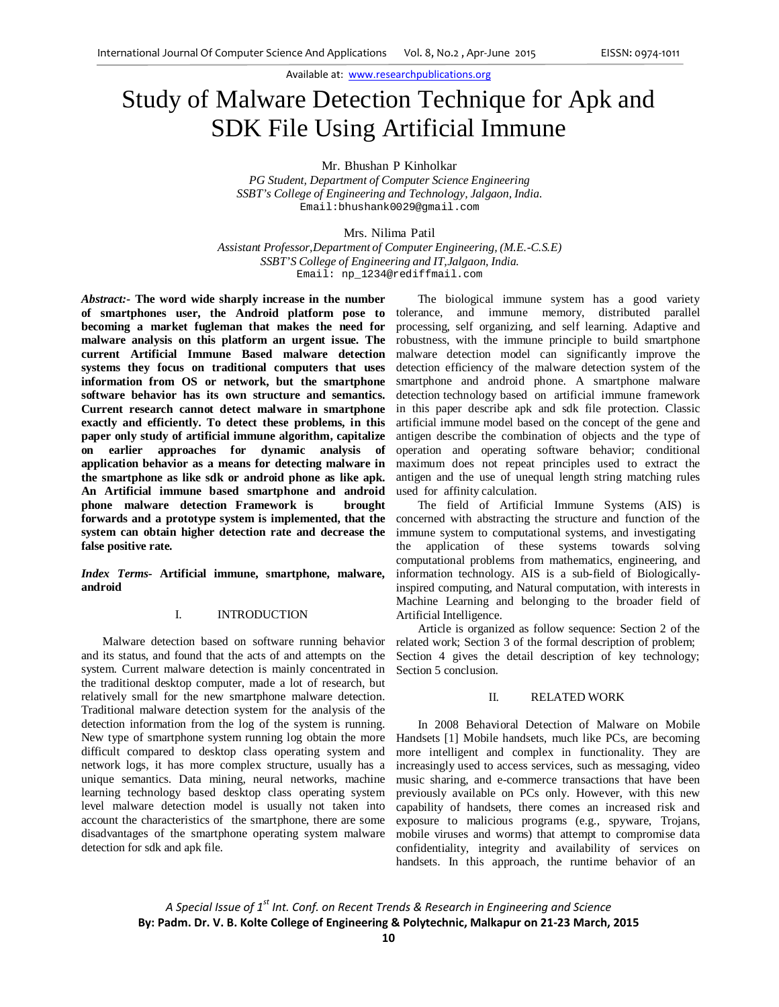# Study of Malware Detection Technique for Apk and SDK File Using Artificial Immune

Mr. Bhushan P Kinholkar

*PG Student, Department of Computer Science Engineering SSBT's College of Engineering and Technology, Jalgaon, India.* Email:bhushank0029@gmail.com

Mrs. Nilima Patil

*Assistant Professor,Department of Computer Engineering, (M.E.-C.S.E) SSBT'S College of Engineering and IT,Jalgaon, India.* Email: np\_1234@rediffmail.com

*Abstract:-* **The word wide sharply increase in the number of smartphones user, the Android platform pose to becoming a market fugleman that makes the need for malware analysis on this platform an urgent issue. The current Artificial Immune Based malware detection systems they focus on traditional computers that uses information from OS or network, but the smartphone software behavior has its own structure and semantics. Current research cannot detect malware in smartphone exactly and efficiently. To detect these problems, in this paper only study of artificial immune algorithm, capitalize on earlier approaches for dynamic analysis of application behavior as a means for detecting malware in the smartphone as like sdk or android phone as like apk. An Artificial immune based smartphone and android phone malware detection Framework is brought forwards and a prototype system is implemented, that the system can obtain higher detection rate and decrease the false positive rate.**

*Index Terms-* **Artificial immune, smartphone, malware, android**

### I. INTRODUCTION

Malware detection based on software running behavior and its status, and found that the acts of and attempts on the system. Current malware detection is mainly concentrated in the traditional desktop computer, made a lot of research, but relatively small for the new smartphone malware detection. Traditional malware detection system for the analysis of the detection information from the log of the system is running. New type of smartphone system running log obtain the more difficult compared to desktop class operating system and network logs, it has more complex structure, usually has a unique semantics. Data mining, neural networks, machine learning technology based desktop class operating system level malware detection model is usually not taken into account the characteristics of the smartphone, there are some disadvantages of the smartphone operating system malware detection for sdk and apk file.

The biological immune system has a good variety tolerance, and immune memory, distributed parallel processing, self organizing, and self learning. Adaptive and robustness, with the immune principle to build smartphone malware detection model can significantly improve the detection efficiency of the malware detection system of the smartphone and android phone. A smartphone malware detection technology based on artificial immune framework in this paper describe apk and sdk file protection. Classic artificial immune model based on the concept of the gene and antigen describe the combination of objects and the type of operation and operating software behavior; conditional maximum does not repeat principles used to extract the antigen and the use of unequal length string matching rules used for affinity calculation.

The field of Artificial Immune Systems (AIS) is concerned with abstracting the structure and function of the immune system to computational systems, and investigating the application of these systems towards solving computational problems from mathematics, engineering, and information technology. AIS is a sub-field of Biologicallyinspired computing, and Natural computation, with interests in Machine Learning and belonging to the broader field of Artificial Intelligence.

Article is organized as follow sequence: Section 2 of the related work; Section 3 of the formal description of problem; Section 4 gives the detail description of key technology; Section 5 conclusion.

#### II. RELATED WORK

In 2008 Behavioral Detection of Malware on Mobile Handsets [1] Mobile handsets, much like PCs, are becoming more intelligent and complex in functionality. They are increasingly used to access services, such as messaging, video music sharing, and e-commerce transactions that have been previously available on PCs only. However, with this new capability of handsets, there comes an increased risk and exposure to malicious programs (e.g., spyware, Trojans, mobile viruses and worms) that attempt to compromise data confidentiality, integrity and availability of services on handsets. In this approach, the runtime behavior of an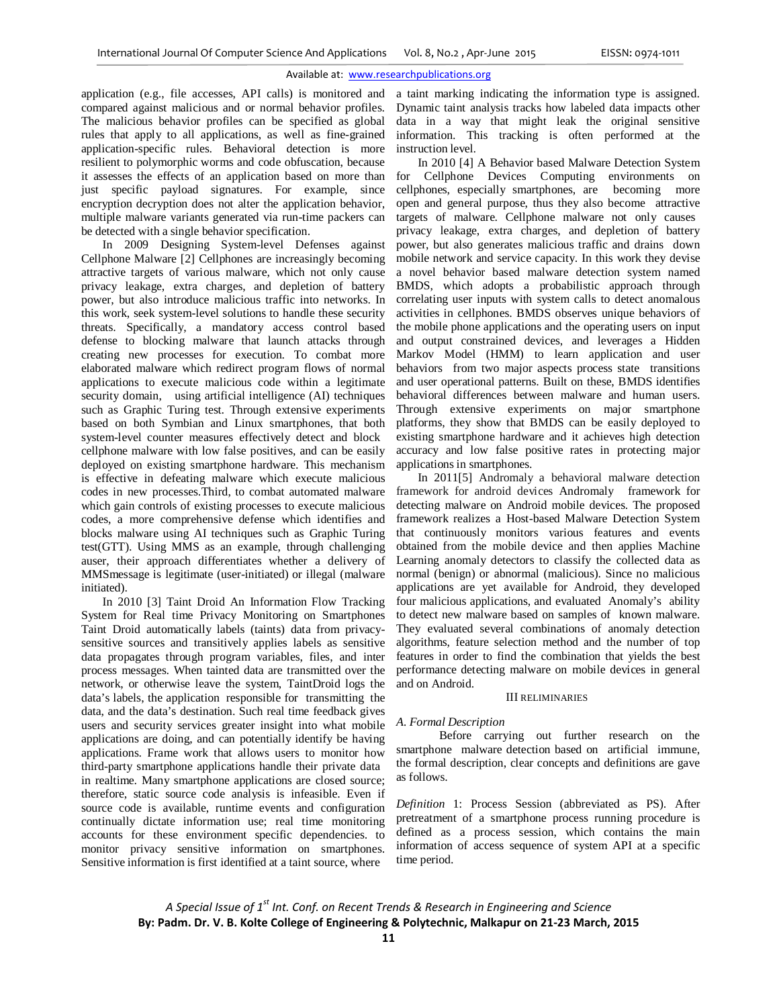application (e.g., file accesses, API calls) is monitored and compared against malicious and or normal behavior profiles. The malicious behavior profiles can be specified as global rules that apply to all applications, as well as fine-grained application-specific rules. Behavioral detection is more resilient to polymorphic worms and code obfuscation, because it assesses the effects of an application based on more than just specific payload signatures. For example, since encryption decryption does not alter the application behavior, multiple malware variants generated via run-time packers can be detected with a single behavior specification.

In 2009 Designing System-level Defenses against Cellphone Malware [2] Cellphones are increasingly becoming attractive targets of various malware, which not only cause privacy leakage, extra charges, and depletion of battery power, but also introduce malicious traffic into networks. In this work, seek system-level solutions to handle these security threats. Specifically, a mandatory access control based defense to blocking malware that launch attacks through creating new processes for execution. To combat more elaborated malware which redirect program flows of normal applications to execute malicious code within a legitimate security domain, using artificial intelligence (AI) techniques such as Graphic Turing test. Through extensive experiments based on both Symbian and Linux smartphones, that both system-level counter measures effectively detect and block cellphone malware with low false positives, and can be easily deployed on existing smartphone hardware. This mechanism is effective in defeating malware which execute malicious codes in new processes.Third, to combat automated malware which gain controls of existing processes to execute malicious codes, a more comprehensive defense which identifies and blocks malware using AI techniques such as Graphic Turing test(GTT). Using MMS as an example, through challenging auser, their approach differentiates whether a delivery of MMSmessage is legitimate (user-initiated) or illegal (malware initiated).

In 2010 [3] Taint Droid An Information Flow Tracking System for Real time Privacy Monitoring on Smartphones Taint Droid automatically labels (taints) data from privacysensitive sources and transitively applies labels as sensitive data propagates through program variables, files, and inter process messages. When tainted data are transmitted over the network, or otherwise leave the system, TaintDroid logs the data's labels, the application responsible for transmitting the data, and the data's destination. Such real time feedback gives users and security services greater insight into what mobile applications are doing, and can potentially identify be having applications. Frame work that allows users to monitor how third-party smartphone applications handle their private data in realtime. Many smartphone applications are closed source; therefore, static source code analysis is infeasible. Even if source code is available, runtime events and configuration continually dictate information use; real time monitoring accounts for these environment specific dependencies. to monitor privacy sensitive information on smartphones. Sensitive information is first identified at a taint source, where

a taint marking indicating the information type is assigned. Dynamic taint analysis tracks how labeled data impacts other data in a way that might leak the original sensitive information. This tracking is often performed at the instruction level.

In 2010 [4] A Behavior based Malware Detection System for Cellphone Devices Computing environments on cellphones, especially smartphones, are becoming more open and general purpose, thus they also become attractive targets of malware. Cellphone malware not only causes privacy leakage, extra charges, and depletion of battery power, but also generates malicious traffic and drains down mobile network and service capacity. In this work they devise a novel behavior based malware detection system named BMDS, which adopts a probabilistic approach through correlating user inputs with system calls to detect anomalous activities in cellphones. BMDS observes unique behaviors of the mobile phone applications and the operating users on input and output constrained devices, and leverages a Hidden Markov Model (HMM) to learn application and user behaviors from two major aspects process state transitions and user operational patterns. Built on these, BMDS identifies behavioral differences between malware and human users. Through extensive experiments on major smartphone platforms, they show that BMDS can be easily deployed to existing smartphone hardware and it achieves high detection accuracy and low false positive rates in protecting major applications in smartphones.

In 2011[5] Andromaly a behavioral malware detection framework for android devices Andromaly framework for detecting malware on Android mobile devices. The proposed framework realizes a Host-based Malware Detection System that continuously monitors various features and events obtained from the mobile device and then applies Machine Learning anomaly detectors to classify the collected data as normal (benign) or abnormal (malicious). Since no malicious applications are yet available for Android, they developed four malicious applications, and evaluated Anomaly's ability to detect new malware based on samples of known malware. They evaluated several combinations of anomaly detection algorithms, feature selection method and the number of top features in order to find the combination that yields the best performance detecting malware on mobile devices in general and on Android.

#### III RELIMINARIES

#### *A. Formal Description*

Before carrying out further research on the smartphone malware detection based on artificial immune, the formal description, clear concepts and definitions are gave as follows.

*Definition* 1: Process Session (abbreviated as PS). After pretreatment of a smartphone process running procedure is defined as a process session, which contains the main information of access sequence of system API at a specific time period.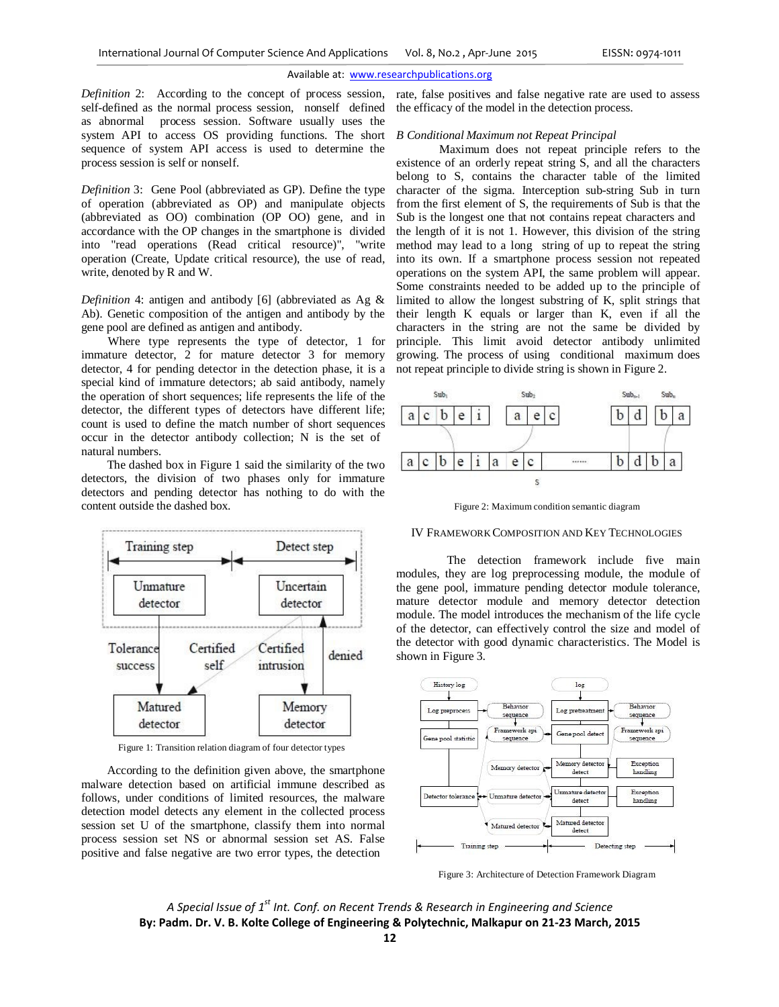*Definition* 2: According to the concept of process session, self-defined as the normal process session, nonself defined as abnormal process session. Software usually uses the system API to access OS providing functions. The short sequence of system API access is used to determine the process session is self or nonself.

*Definition* 3: Gene Pool (abbreviated as GP). Define the type of operation (abbreviated as OP) and manipulate objects (abbreviated as OO) combination (OP OO) gene, and in accordance with the OP changes in the smartphone is divided into "read operations (Read critical resource)", "write operation (Create, Update critical resource), the use of read, write, denoted by R and W.

*Definition* 4: antigen and antibody [6] (abbreviated as Ag & Ab). Genetic composition of the antigen and antibody by the gene pool are defined as antigen and antibody.

Where type represents the type of detector, 1 for immature detector,  $\overrightarrow{2}$  for mature detector 3 for memory detector, 4 for pending detector in the detection phase, it is a special kind of immature detectors; ab said antibody, namely the operation of short sequences; life represents the life of the detector, the different types of detectors have different life; count is used to define the match number of short sequences occur in the detector antibody collection; N is the set of natural numbers.

The dashed box in Figure 1 said the similarity of the two detectors, the division of two phases only for immature detectors and pending detector has nothing to do with the content outside the dashed box.



Figure 1: Transition relation diagram of four detector types

According to the definition given above, the smartphone malware detection based on artificial immune described as follows, under conditions of limited resources, the malware detection model detects any element in the collected process session set U of the smartphone, classify them into normal process session set NS or abnormal session set AS. False positive and false negative are two error types, the detection

rate, false positives and false negative rate are used to assess the efficacy of the model in the detection process.

#### *B Conditional Maximum not Repeat Principal*

Maximum does not repeat principle refers to the existence of an orderly repeat string S, and all the characters belong to S, contains the character table of the limited character of the sigma. Interception sub-string Sub in turn from the first element of S, the requirements of Sub is that the Sub is the longest one that not contains repeat characters and the length of it is not 1. However, this division of the string method may lead to a long string of up to repeat the string into its own. If a smartphone process session not repeated operations on the system API, the same problem will appear. Some constraints needed to be added up to the principle of limited to allow the longest substring of K, split strings that their length K equals or larger than K, even if all the characters in the string are not the same be divided by principle. This limit avoid detector antibody unlimited growing. The process of using conditional maximum does not repeat principle to divide string is shown in Figure 2.



Figure 2: Maximum condition semantic diagram

#### IV FRAMEWORK COMPOSITION AND KEY TECHNOLOGIES

The detection framework include five main modules, they are log preprocessing module, the module of the gene pool, immature pending detector module tolerance, mature detector module and memory detector detection module. The model introduces the mechanism of the life cycle of the detector, can effectively control the size and model of the detector with good dynamic characteristics. The Model is shown in Figure 3.



Figure 3: Architecture of Detection Framework Diagram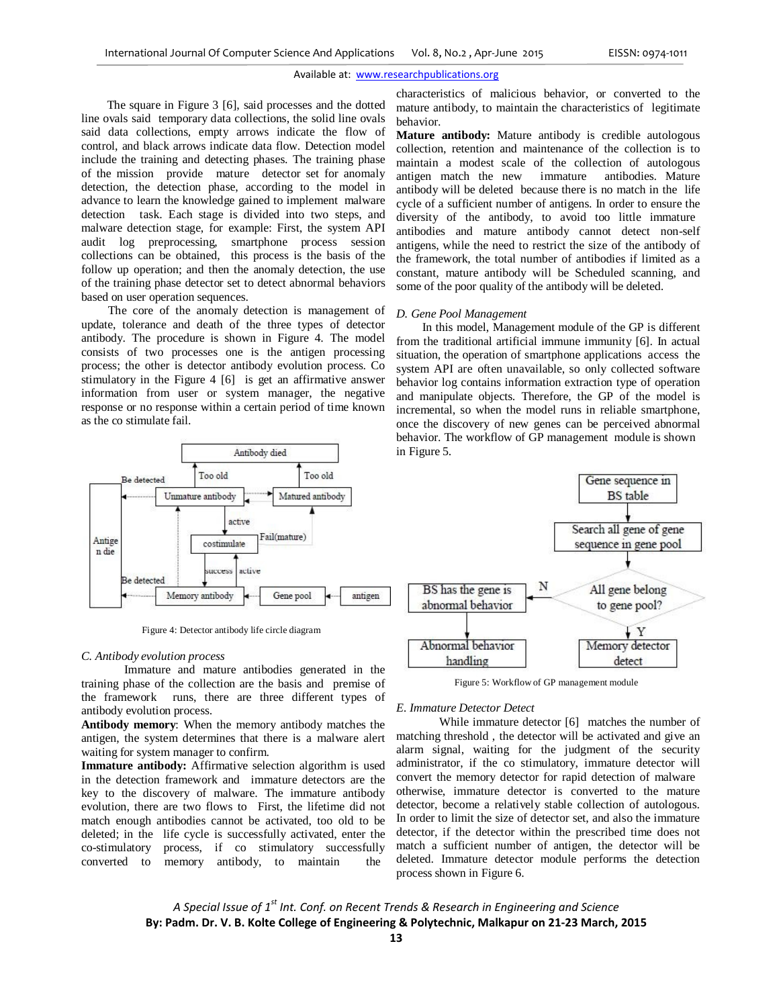The square in Figure 3 [6], said processes and the dotted line ovals said temporary data collections, the solid line ovals said data collections, empty arrows indicate the flow of control, and black arrows indicate data flow. Detection model include the training and detecting phases. The training phase of the mission provide mature detector set for anomaly detection, the detection phase, according to the model in advance to learn the knowledge gained to implement malware detection task. Each stage is divided into two steps, and malware detection stage, for example: First, the system API audit log preprocessing, smartphone process session collections can be obtained, this process is the basis of the follow up operation; and then the anomaly detection, the use of the training phase detector set to detect abnormal behaviors based on user operation sequences.

The core of the anomaly detection is management of update, tolerance and death of the three types of detector antibody. The procedure is shown in Figure 4. The model consists of two processes one is the antigen processing process; the other is detector antibody evolution process. Co stimulatory in the Figure 4 [6] is get an affirmative answer information from user or system manager, the negative response or no response within a certain period of time known as the co stimulate fail.



Figure 4: Detector antibody life circle diagram

#### *C. Antibody evolution process*

Immature and mature antibodies generated in the training phase of the collection are the basis and premise of the framework runs, there are three different types of antibody evolution process.

**Antibody memory**: When the memory antibody matches the antigen, the system determines that there is a malware alert waiting for system manager to confirm.

**Immature antibody:** Affirmative selection algorithm is used in the detection framework and immature detectors are the key to the discovery of malware. The immature antibody evolution, there are two flows to First, the lifetime did not match enough antibodies cannot be activated, too old to be deleted; in the life cycle is successfully activated, enter the co-stimulatory process, if co stimulatory successfully converted to memory antibody, to maintain the

characteristics of malicious behavior, or converted to the mature antibody, to maintain the characteristics of legitimate behavior.

**Mature antibody:** Mature antibody is credible autologous collection, retention and maintenance of the collection is to maintain a modest scale of the collection of autologous antigen match the new immature antibodies. Mature antibody will be deleted because there is no match in the life cycle of a sufficient number of antigens. In order to ensure the diversity of the antibody, to avoid too little immature antibodies and mature antibody cannot detect non-self antigens, while the need to restrict the size of the antibody of the framework, the total number of antibodies if limited as a constant, mature antibody will be Scheduled scanning, and some of the poor quality of the antibody will be deleted.

#### *D. Gene Pool Management*

In this model, Management module of the GP is different from the traditional artificial immune immunity [6]. In actual situation, the operation of smartphone applications access the system API are often unavailable, so only collected software behavior log contains information extraction type of operation and manipulate objects. Therefore, the GP of the model is incremental, so when the model runs in reliable smartphone, once the discovery of new genes can be perceived abnormal behavior. The workflow of GP management module is shown in Figure 5.



Figure 5: Workflow of GP management module

#### *E. Immature Detector Detect*

While immature detector [6] matches the number of matching threshold , the detector will be activated and give an alarm signal, waiting for the judgment of the security administrator, if the co stimulatory, immature detector will convert the memory detector for rapid detection of malware otherwise, immature detector is converted to the mature detector, become a relatively stable collection of autologous. In order to limit the size of detector set, and also the immature detector, if the detector within the prescribed time does not match a sufficient number of antigen, the detector will be deleted. Immature detector module performs the detection process shown in Figure 6.